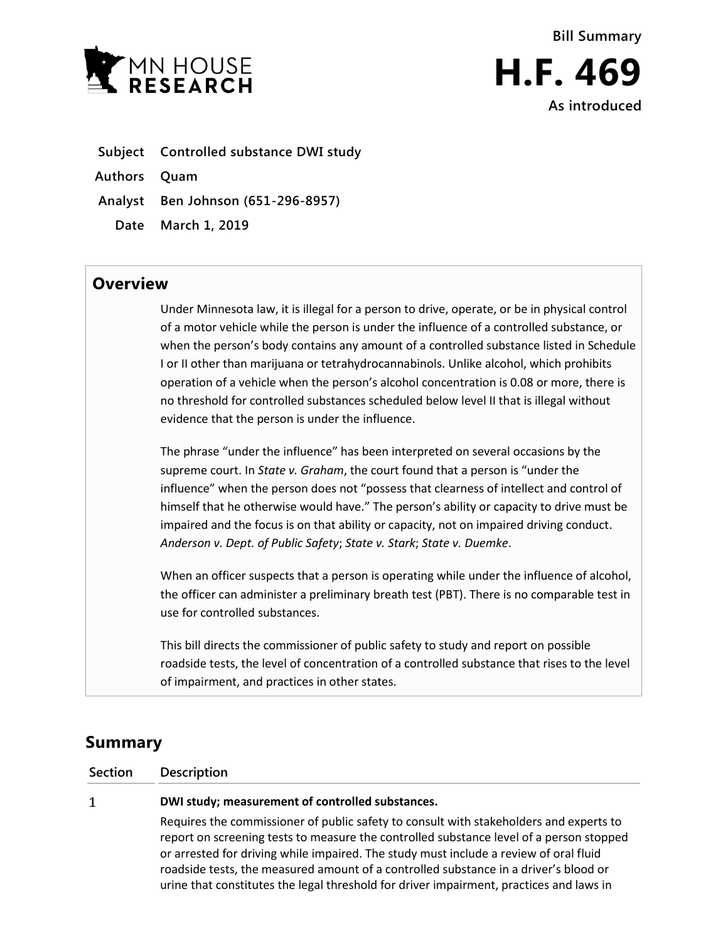

- **Subject Controlled substance DWI study**
- **Authors Quam**
- **Analyst Ben Johnson (651-296-8957)**
	- **Date March 1, 2019**

## **Overview**

Under Minnesota law, it is illegal for a person to drive, operate, or be in physical control of a motor vehicle while the person is under the influence of a controlled substance, or when the person's body contains any amount of a controlled substance listed in Schedule I or II other than marijuana or tetrahydrocannabinols. Unlike alcohol, which prohibits operation of a vehicle when the person's alcohol concentration is 0.08 or more, there is no threshold for controlled substances scheduled below level II that is illegal without evidence that the person is under the influence.

The phrase "under the influence" has been interpreted on several occasions by the supreme court. In *State v. Graham*, the court found that a person is "under the influence" when the person does not "possess that clearness of intellect and control of himself that he otherwise would have." The person's ability or capacity to drive must be impaired and the focus is on that ability or capacity, not on impaired driving conduct. *Anderson v. Dept. of Public Safety*; *State v. Stark*; *State v. Duemke*.

When an officer suspects that a person is operating while under the influence of alcohol, the officer can administer a preliminary breath test (PBT). There is no comparable test in use for controlled substances.

This bill directs the commissioner of public safety to study and report on possible roadside tests, the level of concentration of a controlled substance that rises to the level of impairment, and practices in other states.

# **Summary**

**Section Description**

#### $\mathbf{1}$

#### **DWI study; measurement of controlled substances.**

Requires the commissioner of public safety to consult with stakeholders and experts to report on screening tests to measure the controlled substance level of a person stopped or arrested for driving while impaired. The study must include a review of oral fluid roadside tests, the measured amount of a controlled substance in a driver's blood or urine that constitutes the legal threshold for driver impairment, practices and laws in